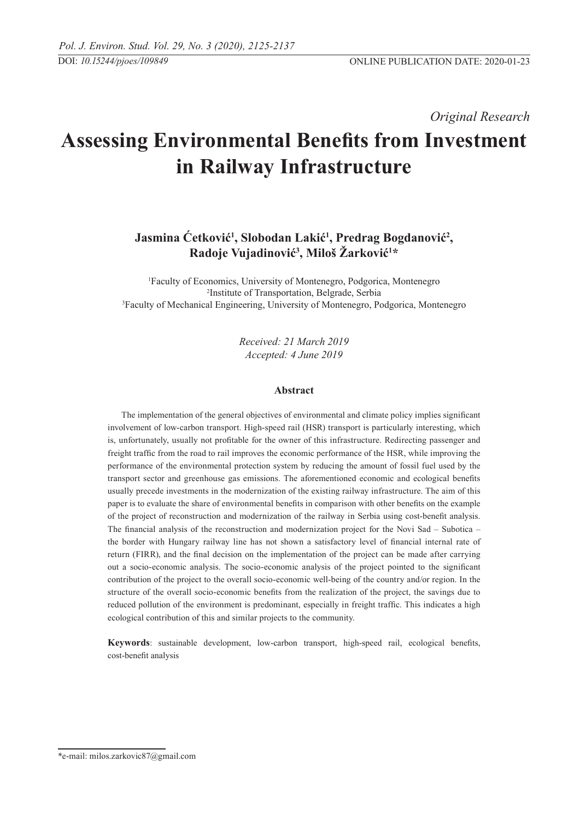*Original Research* 

# **Assessing Environmental Benefits from Investment in Railway Infrastructure**

# **Jasmina Ćetković<sup>1</sup> , Slobodan Lakić<sup>1</sup> , Predrag Bogdanović<sup>2</sup> , Radoje Vujadinović<sup>3</sup> , Miloš Žarković<sup>1</sup> \***

1 Faculty of Economics, University of Montenegro, Podgorica, Montenegro <sup>2</sup>Institute of Transportation, Belgrade, Serbia <sup>2</sup>Institute of Transportation, Belgrade, Serbia<br><sup>3</sup>Faculty of Mechanical Engineering, University of Montenegro, Podgorica, Montenegro

> *Received: 21 March 2019 Accepted: 4 June 2019*

## **Abstract**

The implementation of the general objectives of environmental and climate policy implies significant involvement of low-carbon transport. High-speed rail (HSR) transport is particularly interesting, which is, unfortunately, usually not profitable for the owner of this infrastructure. Redirecting passenger and freight traffic from the road to rail improves the economic performance of the HSR, while improving the performance of the environmental protection system by reducing the amount of fossil fuel used by the transport sector and greenhouse gas emissions. The aforementioned economic and ecological benefits usually precede investments in the modernization of the existing railway infrastructure. The aim of this paper is to evaluate the share of environmental benefits in comparison with other benefits on the example of the project of reconstruction and modernization of the railway in Serbia using cost-benefit analysis. The financial analysis of the reconstruction and modernization project for the Novi Sad – Subotica – the border with Hungary railway line has not shown a satisfactory level of financial internal rate of return (FIRR), and the final decision on the implementation of the project can be made after carrying out a socio-economic analysis. The socio-economic analysis of the project pointed to the significant contribution of the project to the overall socio-economic well-being of the country and/or region. In the structure of the overall socio-economic benefits from the realization of the project, the savings due to reduced pollution of the environment is predominant, especially in freight traffic. This indicates a high ecological contribution of this and similar projects to the community.

**Keywords**: sustainable development, low-carbon transport, high-speed rail, ecological benefits, cost-benefit analysis

<sup>\*</sup>e-mail: milos.zarkovic87@gmail.com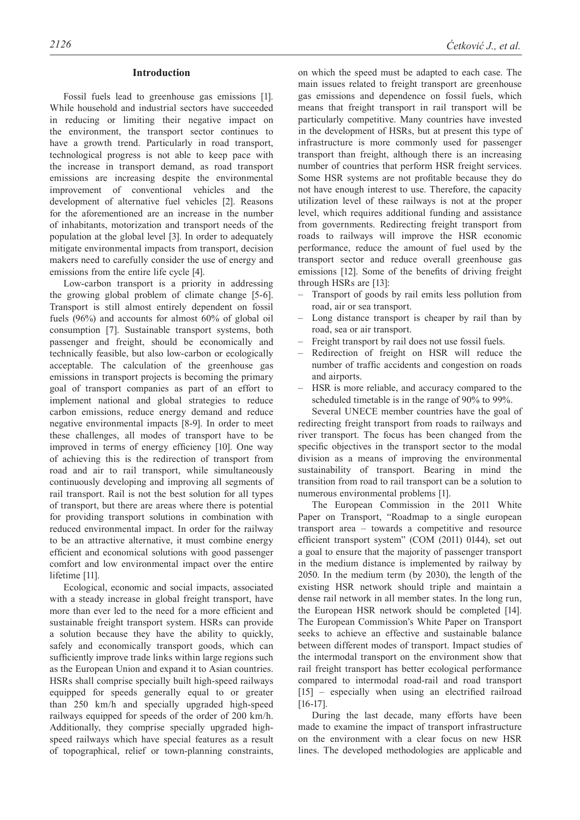#### **Introduction**

Fossil fuels lead to greenhouse gas emissions [1]. While household and industrial sectors have succeeded in reducing or limiting their negative impact on the environment, the transport sector continues to have a growth trend. Particularly in road transport, technological progress is not able to keep pace with the increase in transport demand, as road transport emissions are increasing despite the environmental improvement of conventional vehicles and the development of alternative fuel vehicles [2]. Reasons for the aforementioned are an increase in the number of inhabitants, motorization and transport needs of the population at the global level [3]. In order to adequately mitigate environmental impacts from transport, decision makers need to carefully consider the use of energy and emissions from the entire life cycle [4].

Low-carbon transport is a priority in addressing the growing global problem of climate change [5-6]. Transport is still almost entirely dependent on fossil fuels (96%) and accounts for almost 60% of global oil consumption [7]. Sustainable transport systems, both passenger and freight, should be economically and technically feasible, but also low-carbon or ecologically acceptable. The calculation of the greenhouse gas emissions in transport projects is becoming the primary goal of transport companies as part of an effort to implement national and global strategies to reduce carbon emissions, reduce energy demand and reduce negative environmental impacts [8-9]. In order to meet these challenges, all modes of transport have to be improved in terms of energy efficiency [10]. One way of achieving this is the redirection of transport from road and air to rail transport, while simultaneously continuously developing and improving all segments of rail transport. Rail is not the best solution for all types of transport, but there are areas where there is potential for providing transport solutions in combination with reduced environmental impact. In order for the railway to be an attractive alternative, it must combine energy efficient and economical solutions with good passenger comfort and low environmental impact over the entire lifetime [11].

Ecological, economic and social impacts, associated with a steady increase in global freight transport, have more than ever led to the need for a more efficient and sustainable freight transport system. HSRs can provide a solution because they have the ability to quickly, safely and economically transport goods, which can sufficiently improve trade links within large regions such as the European Union and expand it to Asian countries. HSRs shall comprise specially built high-speed railways equipped for speeds generally equal to or greater than 250 km/h and specially upgraded high-speed railways equipped for speeds of the order of 200 km/h. Additionally, they comprise specially upgraded highspeed railways which have special features as a result of topographical, relief or town-planning constraints,

on which the speed must be adapted to each case. The main issues related to freight transport are greenhouse gas emissions and dependence on fossil fuels, which means that freight transport in rail transport will be particularly competitive. Many countries have invested in the development of HSRs, but at present this type of infrastructure is more commonly used for passenger transport than freight, although there is an increasing number of countries that perform HSR freight services. Some HSR systems are not profitable because they do not have enough interest to use. Therefore, the capacity utilization level of these railways is not at the proper level, which requires additional funding and assistance from governments. Redirecting freight transport from roads to railways will improve the HSR economic performance, reduce the amount of fuel used by the transport sector and reduce overall greenhouse gas emissions [12]. Some of the benefits of driving freight through HSRs are [13]:

- Transport of goods by rail emits less pollution from road, air or sea transport.
- Long distance transport is cheaper by rail than by road, sea or air transport.
- Freight transport by rail does not use fossil fuels.
- Redirection of freight on HSR will reduce the number of traffic accidents and congestion on roads and airports.
- HSR is more reliable, and accuracy compared to the scheduled timetable is in the range of 90% to 99%.

Several UNECE member countries have the goal of redirecting freight transport from roads to railways and river transport. The focus has been changed from the specific objectives in the transport sector to the modal division as a means of improving the environmental sustainability of transport. Bearing in mind the transition from road to rail transport can be a solution to numerous environmental problems [1].

The European Commission in the 2011 White Paper on Transport, "Roadmap to a single european transport area – towards a competitive and resource efficient transport system" (COM (2011) 0144), set out a goal to ensure that the majority of passenger transport in the medium distance is implemented by railway by 2050. In the medium term (by 2030), the length of the existing HSR network should triple and maintain a dense rail network in all member states. In the long run, the European HSR network should be completed [14]. The European Commission's White Paper on Transport seeks to achieve an effective and sustainable balance between different modes of transport. Impact studies of the intermodal transport on the environment show that rail freight transport has better ecological performance compared to intermodal road-rail and road transport [15] – especially when using an electrified railroad [16-17].

During the last decade, many efforts have been made to examine the impact of transport infrastructure on the environment with a clear focus on new HSR lines. The developed methodologies are applicable and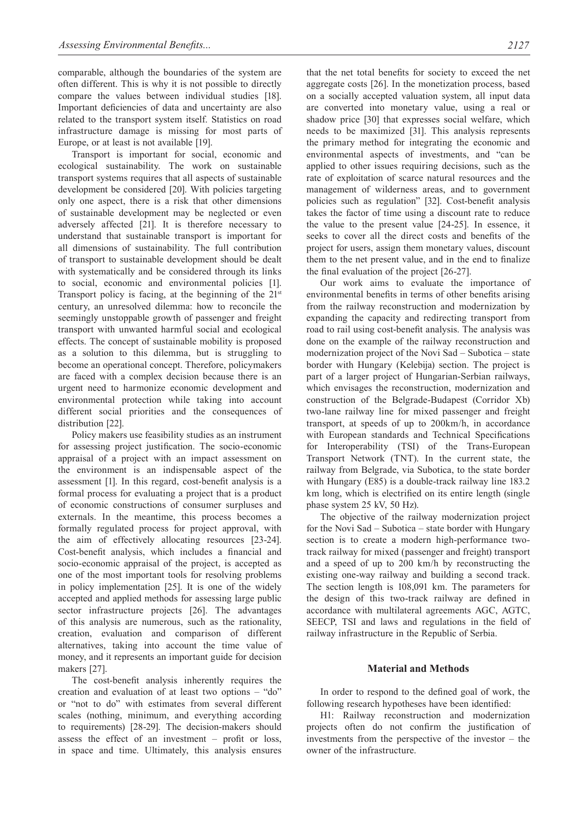comparable, although the boundaries of the system are often different. This is why it is not possible to directly compare the values between individual studies [18]. Important deficiencies of data and uncertainty are also related to the transport system itself. Statistics on road infrastructure damage is missing for most parts of Europe, or at least is not available [19].

Transport is important for social, economic and ecological sustainability. The work on sustainable transport systems requires that all aspects of sustainable development be considered [20]. With policies targeting only one aspect, there is a risk that other dimensions of sustainable development may be neglected or even adversely affected [21]. It is therefore necessary to understand that sustainable transport is important for all dimensions of sustainability. The full contribution of transport to sustainable development should be dealt with systematically and be considered through its links to social, economic and environmental policies [1]. Transport policy is facing, at the beginning of the  $21<sup>st</sup>$ century, an unresolved dilemma: how to reconcile the seemingly unstoppable growth of passenger and freight transport with unwanted harmful social and ecological effects. The concept of sustainable mobility is proposed as a solution to this dilemma, but is struggling to become an operational concept. Therefore, policymakers are faced with a complex decision because there is an urgent need to harmonize economic development and environmental protection while taking into account different social priorities and the consequences of distribution [22].

Policy makers use feasibility studies as an instrument for assessing project justification. The socio-economic appraisal of a project with an impact assessment on the environment is an indispensable aspect of the assessment [1]. In this regard, cost-benefit analysis is a formal process for evaluating a project that is a product of economic constructions of consumer surpluses and externals. In the meantime, this process becomes a formally regulated process for project approval, with the aim of effectively allocating resources [23-24]. Cost-benefit analysis, which includes a financial and socio-economic appraisal of the project, is accepted as one of the most important tools for resolving problems in policy implementation [25]. It is one of the widely accepted and applied methods for assessing large public sector infrastructure projects [26]. The advantages of this analysis are numerous, such as the rationality, creation, evaluation and comparison of different alternatives, taking into account the time value of money, and it represents an important guide for decision makers [27].

The cost-benefit analysis inherently requires the creation and evaluation of at least two options – "do" or "not to do" with estimates from several different scales (nothing, minimum, and everything according to requirements) [28-29]. The decision-makers should assess the effect of an investment – profit or loss, in space and time. Ultimately, this analysis ensures

that the net total benefits for society to exceed the net aggregate costs [26]. In the monetization process, based on a socially accepted valuation system, all input data are converted into monetary value, using a real or shadow price [30] that expresses social welfare, which needs to be maximized [31]. This analysis represents the primary method for integrating the economic and environmental aspects of investments, and "can be applied to other issues requiring decisions, such as the rate of exploitation of scarce natural resources and the management of wilderness areas, and to government policies such as regulation" [32]. Cost-benefit analysis takes the factor of time using a discount rate to reduce the value to the present value [24-25]. In essence, it seeks to cover all the direct costs and benefits of the project for users, assign them monetary values, discount them to the net present value, and in the end to finalize the final evaluation of the project [26-27].

Our work aims to evaluate the importance of environmental benefits in terms of other benefits arising from the railway reconstruction and modernization by expanding the capacity and redirecting transport from road to rail using cost-benefit analysis. The analysis was done on the example of the railway reconstruction and modernization project of the Novi Sad – Subotica – state border with Hungary (Kelebija) section. The project is part of a larger project of Hungarian-Serbian railways, which envisages the reconstruction, modernization and construction of the Belgrade-Budapest (Corridor Xb) two-lane railway line for mixed passenger and freight transport, at speeds of up to 200km/h, in accordance with European standards and Technical Specifications for Interoperability (TSI) of the Trans-European Transport Network (TNT). In the current state, the railway from Belgrade, via Subotica, to the state border with Hungary (E85) is a double-track railway line 183.2 km long, which is electrified on its entire length (single phase system 25 kV, 50 Hz).

The objective of the railway modernization project for the Novi Sad – Subotica – state border with Hungary section is to create a modern high-performance twotrack railway for mixed (passenger and freight) transport and a speed of up to 200 km/h by reconstructing the existing one-way railway and building a second track. The section length is 108,091 km. The parameters for the design of this two-track railway are defined in accordance with multilateral agreements AGC, AGTC, SEECP, TSI and laws and regulations in the field of railway infrastructure in the Republic of Serbia.

## **Material and Methods**

In order to respond to the defined goal of work, the following research hypotheses have been identified:

H1: Railway reconstruction and modernization projects often do not confirm the justification of investments from the perspective of the investor – the owner of the infrastructure.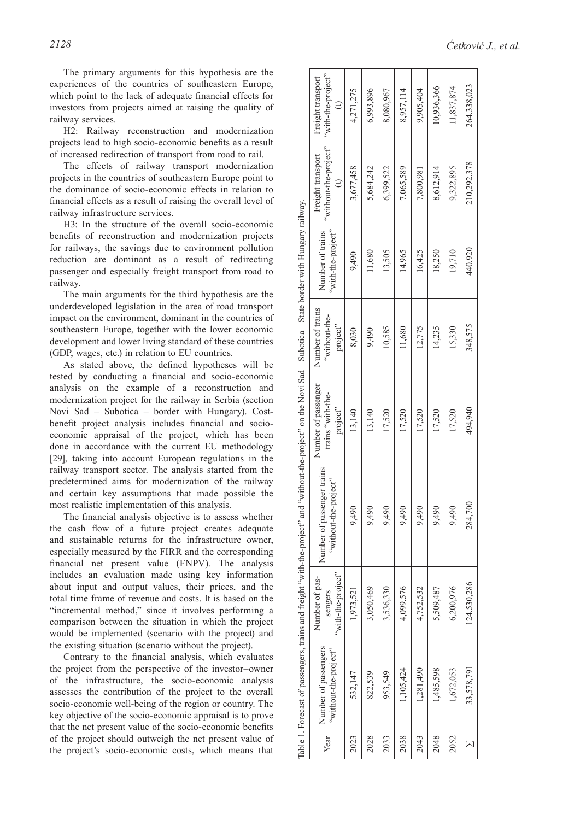The primary arguments for this hypothesis are the experiences of the countries of southeastern Europe, which point to the lack of adequate financial effects for investors from projects aimed at raising the quality of railway services.

H2: Railway reconstruction and modernization projects lead to high socio-economic benefits as a result of increased redirection of transport from road to rail.

The effects of railway transport modernization projects in the countries of southeastern Europe point to the dominance of socio-economic effects in relation to financial effects as a result of raising the overall level of railway infrastructure services.

H3: In the structure of the overall socio-economic benefits of reconstruction and modernization projects for railways, the savings due to environment pollution reduction are dominant as a result of redirecting passenger and especially freight transport from road to railway.

The main arguments for the third hypothesis are the underdeveloped legislation in the area of road transport impact on the environment, dominant in the countries of southeastern Europe, together with the lower economic development and lower living standard of these countries (GDP, wages, etc.) in relation to EU countries.

As stated above, the defined hypotheses will be tested by conducting a financial and socio-economic analysis on the example of a reconstruction and modernization project for the railway in Serbia (section Novi Sad – Subotica – border with Hungary). Costbenefit project analysis includes financial and socioeconomic appraisal of the project, which has been done in accordance with the current EU methodology [29], taking into account European regulations in the railway transport sector. The analysis started from the predetermined aims for modernization of the railway and certain key assumptions that made possible the most realistic implementation of this analysis.

The financial analysis objective is to assess whether the cash flow of a future project creates adequate and sustainable returns for the infrastructure owner, especially measured by the FIRR and the corresponding financial net present value (FNPV). The analysis includes an evaluation made using key information about input and output values, their prices, and the total time frame of revenue and costs. It is based on the "incremental method," since it involves performing a comparison between the situation in which the project would be implemented (scenario with the project) and the existing situation (scenario without the project).

Contrary to the financial analysis, which evaluates the project from the perspective of the investor–owner of the infrastructure, the socio-economic analysis assesses the contribution of the project to the overall socio-economic well-being of the region or country. The key objective of the socio-economic appraisal is to prove that the net present value of the socio-economic benefits of the project should outweigh the net present value of the project's socio-economic costs, which means that

|                                                                                       | "with-the-project"<br>Freight transport                  | 4,271,275 | 6,993,896 | 8,080,967 | 8,957,114 | 9,905,404 | 10,936,366 | 11,837,874 | 264,338,023 |  |
|---------------------------------------------------------------------------------------|----------------------------------------------------------|-----------|-----------|-----------|-----------|-----------|------------|------------|-------------|--|
|                                                                                       | "without-the-project"<br>Freight transport<br>$\epsilon$ | 3,677,458 | 5,684,242 | 6,399,522 | 7,065,589 | 7,800,981 | 8,612,914  | 9,322,895  | 210,292,378 |  |
|                                                                                       | "with-the-project"<br>Number of trains                   | 9,490     | 11,680    | 13,505    | 14,965    | 16,425    | 18,250     | 19,710     | 440,920     |  |
|                                                                                       | Number of trains<br>"without-the-<br>project"            | 8,030     | 9,490     | 10,585    | 11,680    | 12,775    | 14,235     | 15,330     | 348,575     |  |
| "without-the-project" on the Novi Sad - Subotica - State border with Hungary railway. | Number of passenger<br>trains "with-the-<br>project"     | 13,140    | 13,140    | 17,520    | 17,520    | 17,520    | 17,520     | 17,520     | 494,940     |  |
|                                                                                       | Number of passenger trains<br>"without-the-project"      | 9,490     | 9,490     | 9,490     | 9,490     | 9,490     | 9,490      | 9,490      | 284,700     |  |
|                                                                                       | "with-the-project"<br>Number of pas-<br>sengers          | 1,973,521 | 3,050,469 | 3,536,330 | 4,099,576 | 4,752,532 | 5,509,487  | 6,200,976  | 124,530,286 |  |
| Table 1. Forecast of passengers, trains and freight "with-the-project" and            | Number of passengers<br>"without-the-project"            | 532,147   | 822,539   | 953,549   | 1,105,424 | 1,281,490 | 1,485,598  | 1,672,053  | 33,578,791  |  |
|                                                                                       | Year                                                     | 2023      | 2028      | 2033      | 2038      | 2043      | 2048       | 2052       |             |  |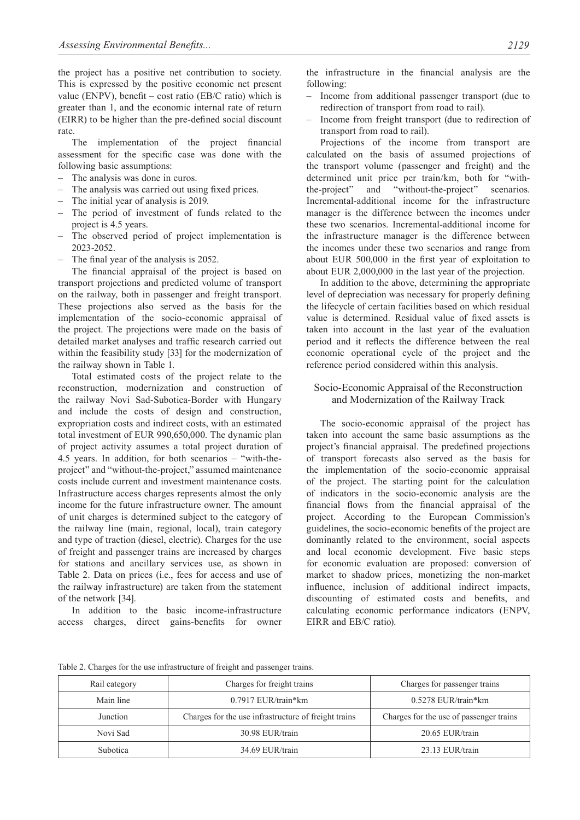the project has a positive net contribution to society. This is expressed by the positive economic net present value (ENPV), benefit – cost ratio (EB/C ratio) which is greater than 1, and the economic internal rate of return (EIRR) to be higher than the pre-defined social discount rate.

The implementation of the project financial assessment for the specific case was done with the following basic assumptions:

- The analysis was done in euros.
- The analysis was carried out using fixed prices.
- The initial year of analysis is 2019.
- The period of investment of funds related to the project is 4.5 years.
- The observed period of project implementation is 2023-2052.
- The final year of the analysis is 2052.

The financial appraisal of the project is based on transport projections and predicted volume of transport on the railway, both in passenger and freight transport. These projections also served as the basis for the implementation of the socio-economic appraisal of the project. The projections were made on the basis of detailed market analyses and traffic research carried out within the feasibility study [33] for the modernization of the railway shown in Table 1.

Total estimated costs of the project relate to the reconstruction, modernization and construction of the railway Novi Sad-Subotica-Border with Hungary and include the costs of design and construction, expropriation costs and indirect costs, with an estimated total investment of EUR 990,650,000. The dynamic plan of project activity assumes a total project duration of 4.5 years. In addition, for both scenarios – "with-theproject" and "without-the-project," assumed maintenance costs include current and investment maintenance costs. Infrastructure access charges represents almost the only income for the future infrastructure owner. The amount of unit charges is determined subject to the category of the railway line (main, regional, local), train category and type of traction (diesel, electric). Charges for the use of freight and passenger trains are increased by charges for stations and ancillary services use, as shown in Table 2. Data on prices (i.e., fees for access and use of the railway infrastructure) are taken from the statement of the network [34].

In addition to the basic income-infrastructure access charges, direct gains-benefits for owner the infrastructure in the financial analysis are the following:

- Income from additional passenger transport (due to redirection of transport from road to rail).
- Income from freight transport (due to redirection of transport from road to rail).

Projections of the income from transport are calculated on the basis of assumed projections of the transport volume (passenger and freight) and the determined unit price per train/km, both for "withthe-project" and "without-the-project" scenarios. Incremental-additional income for the infrastructure manager is the difference between the incomes under these two scenarios. Incremental-additional income for the infrastructure manager is the difference between the incomes under these two scenarios and range from about EUR 500,000 in the first year of exploitation to about EUR 2,000,000 in the last year of the projection.

In addition to the above, determining the appropriate level of depreciation was necessary for properly defining the lifecycle of certain facilities based on which residual value is determined. Residual value of fixed assets is taken into account in the last year of the evaluation period and it reflects the difference between the real economic operational cycle of the project and the reference period considered within this analysis.

# Socio-Economic Appraisal of the Reconstruction and Modernization of the Railway Track

The socio-economic appraisal of the project has taken into account the same basic assumptions as the project's financial appraisal. The predefined projections of transport forecasts also served as the basis for the implementation of the socio-economic appraisal of the project. The starting point for the calculation of indicators in the socio-economic analysis are the financial flows from the financial appraisal of the project. According to the European Commission's guidelines, the socio-economic benefits of the project are dominantly related to the environment, social aspects and local economic development. Five basic steps for economic evaluation are proposed: conversion of market to shadow prices, monetizing the non-market influence, inclusion of additional indirect impacts, discounting of estimated costs and benefits, and calculating economic performance indicators (ENPV, EIRR and EB/C ratio).

Table 2. Charges for the use infrastructure of freight and passenger trains.

| Rail category | Charges for freight trains                           | Charges for passenger trains            |  |
|---------------|------------------------------------------------------|-----------------------------------------|--|
| Main line     | $0.7917$ EUR/train*km                                | $0.5278$ EUR/train*km                   |  |
| Junction      | Charges for the use infrastructure of freight trains | Charges for the use of passenger trains |  |
| Novi Sad      | 30.98 EUR/train                                      | 20.65 EUR/train                         |  |
| Subotica      | 34.69 EUR/train                                      | 23.13 EUR/train                         |  |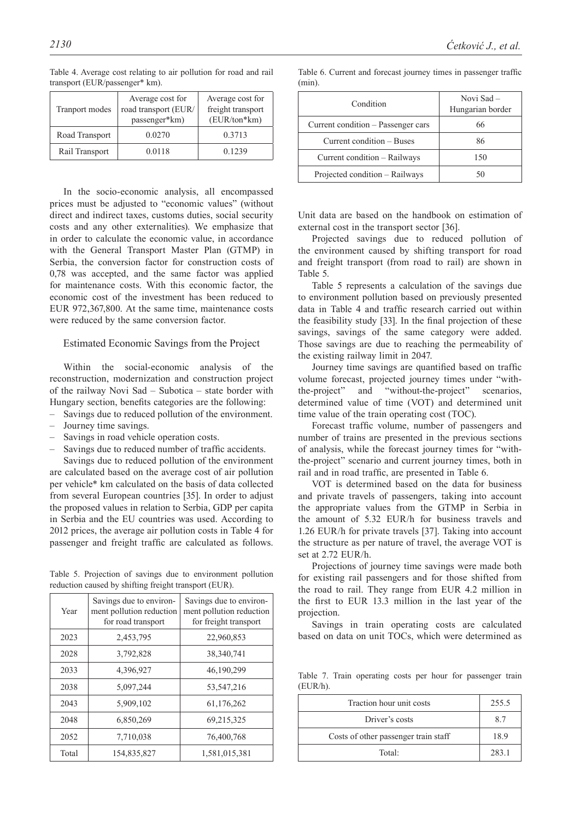| <b>Tranport modes</b> | Average cost for<br>road transport (EUR/<br>passenger*km) | Average cost for<br>freight transport<br>(EUR/ton*km) |  |
|-----------------------|-----------------------------------------------------------|-------------------------------------------------------|--|
| Road Transport        | 0.0270                                                    | 0.3713                                                |  |
| Rail Transport        | 0.0118                                                    | 0.1239                                                |  |

Table 4. Average cost relating to air pollution for road and rail transport (EUR/passenger\* km).

In the socio-economic analysis, all encompassed prices must be adjusted to "economic values" (without direct and indirect taxes, customs duties, social security costs and any other externalities). We emphasize that in order to calculate the economic value, in accordance with the General Transport Master Plan (GTMP) in Serbia, the conversion factor for construction costs of 0,78 was accepted, and the same factor was applied for maintenance costs. With this economic factor, the economic cost of the investment has been reduced to EUR 972,367,800. At the same time, maintenance costs were reduced by the same conversion factor.

## Estimated Economic Savings from the Project

Within the social-economic analysis of the reconstruction, modernization and construction project of the railway Novi Sad – Subotica – state border with Hungary section, benefits categories are the following:

- Savings due to reduced pollution of the environment.
- Journey time savings.
- Savings in road vehicle operation costs.
- Savings due to reduced number of traffic accidents.

Savings due to reduced pollution of the environment are calculated based on the average cost of air pollution per vehicle\* km calculated on the basis of data collected from several European countries [35]. In order to adjust the proposed values in relation to Serbia, GDP per capita in Serbia and the EU countries was used. According to 2012 prices, the average air pollution costs in Table 4 for passenger and freight traffic are calculated as follows.

Таble 5. Projection of savings due to environment pollution reduction caused by shifting freight transport (EUR).

| Year  | Savings due to environ-<br>ment pollution reduction<br>for road transport | Savings due to environ-<br>ment pollution reduction<br>for freight transport |
|-------|---------------------------------------------------------------------------|------------------------------------------------------------------------------|
| 2023  | 2,453,795                                                                 | 22,960,853                                                                   |
| 2028  | 3,792,828                                                                 | 38,340,741                                                                   |
| 2033  | 4,396,927                                                                 | 46,190,299                                                                   |
| 2038  | 5,097,244                                                                 | 53, 547, 216                                                                 |
| 2043  | 5,909,102                                                                 | 61,176,262                                                                   |
| 2048  | 6,850,269                                                                 | 69,215,325                                                                   |
| 2052  | 7,710,038                                                                 | 76,400,768                                                                   |
| Total | 154,835,827                                                               | 1,581,015,381                                                                |

Table 6. Current and forecast journey times in passenger traffic  $(min)$ 

| Condition                          | Novi Sad -<br>Hungarian border |
|------------------------------------|--------------------------------|
| Current condition – Passenger cars | 66                             |
| Current condition – Buses          | 86                             |
| Current condition – Railways       | 150                            |
| Projected condition – Railways     |                                |

Unit data are based on the handbook on estimation of external cost in the transport sector [36].

Projected savings due to reduced pollution of the environment caused by shifting transport for road and freight transport (from road to rail) are shown in Table 5.

Table 5 represents a calculation of the savings due to environment pollution based on previously presented data in Table 4 and traffic research carried out within the feasibility study [33]. In the final projection of these savings, savings of the same category were added. Those savings are due to reaching the permeability of the existing railway limit in 2047.

Journey time savings are quantified based on traffic volume forecast, projected journey times under "withthe-project" and "without-the-project" scenarios, determined value of time (VОТ) and determined unit time value of the train operating cost (TOC).

Forecast traffic volume, number of passengers and number of trains are presented in the previous sections of analysis, while the forecast journey times for "withthe-project" scenario and current journey times, both in rail and in road traffic, are presented in Table 6.

VОТ is determined based on the data for business and private travels of passengers, taking into account the appropriate values from the GTMP in Serbia in the amount of 5.32 EUR/h for business travels and 1.26 EUR/h for private travels [37]. Taking into account the structure as per nature of travel, the average VОТ is set at 2.72 EUR/h.

Projections of journey time savings were made both for existing rail passengers and for those shifted from the road to rail. They range from EUR 4.2 million in the first to EUR 13.3 million in the last year of the projection.

Savings in train operating costs are calculated based on data on unit TOCs, which were determined as

Table 7. Train operating costs per hour for passenger train (EUR/h).

| Traction hour unit costs             | 255.5 |
|--------------------------------------|-------|
| Driver's costs                       | 8.7   |
| Costs of other passenger train staff | 18.9  |
| Total:                               | 283.1 |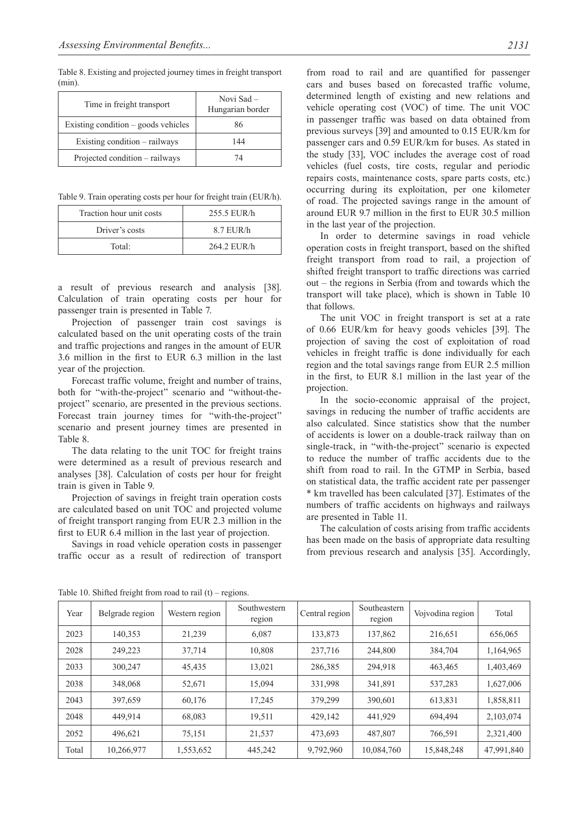Table 8. Existing and projected journey times in freight transport (min).

| Time in freight transport           | Novi Sad -<br>Hungarian border |
|-------------------------------------|--------------------------------|
| Existing condition – goods vehicles | 86                             |
| Existing condition – railways       | 144                            |
| Projected condition – railways      | 74                             |

Table 9. Train operating costs per hour for freight train (EUR/h).

| Traction hour unit costs | 255.5 EUR/h |  |  |
|--------------------------|-------------|--|--|
| Driver's costs           | $8.7$ EUR/h |  |  |
| Total:                   | 264.2 EUR/h |  |  |

a result of previous research and analysis [38]. Calculation of train operating costs per hour for passenger train is presented in Table 7.

Projection of passenger train cost savings is calculated based on the unit operating costs of the train and traffic projections and ranges in the amount of EUR 3.6 million in the first to EUR 6.3 million in the last year of the projection.

Forecast traffic volume, freight and number of trains, both for "with-the-project" scenario and "without-theproject" scenario, are presented in the previous sections. Forecast train journey times for "with-the-project" scenario and present journey times are presented in Table 8.

The data relating to the unit TOC for freight trains were determined as a result of previous research and analyses [38]. Calculation of costs per hour for freight train is given in Table 9.

Projection of savings in freight train operation costs are calculated based on unit TOC and projected volume of freight transport ranging from EUR 2.3 million in the first to EUR 6.4 million in the last year of projection.

Savings in road vehicle operation costs in passenger traffic occur as a result of redirection of transport

from road to rail and are quantified for passenger cars and buses based on forecasted traffic volume, determined length of existing and new relations and vehicle operating cost (VOC) of time. The unit VOC in passenger traffic was based on data obtained from previous surveys [39] and amounted to 0.15 EUR/km for passenger cars and 0.59 EUR/km for buses. As stated in the study [33], VOC includes the average cost of road vehicles (fuel costs, tire costs, regular and periodic repairs costs, maintenance costs, spare parts costs, etc.) occurring during its exploitation, per one kilometer of road. The projected savings range in the amount of around EUR 9.7 million in the first to EUR 30.5 million in the last year of the projection.

In order to determine savings in road vehicle operation costs in freight transport, based on the shifted freight transport from road to rail, a projection of shifted freight transport to traffic directions was carried out – the regions in Serbia (from and towards which the transport will take place), which is shown in Table 10 that follows.

The unit VOC in freight transport is set at a rate of 0.66 EUR/km for heavy goods vehicles [39]. The projection of saving the cost of exploitation of road vehicles in freight traffic is done individually for each region and the total savings range from EUR 2.5 million in the first, to EUR 8.1 million in the last year of the projection.

In the socio-economic appraisal of the project, savings in reducing the number of traffic accidents are also calculated. Since statistics show that the number of accidents is lower on a double-track railway than on single-track, in "with-the-project" scenario is expected to reduce the number of traffic accidents due to the shift from road to rail. In the GTMP in Serbia, based on statistical data, the traffic accident rate per passenger \* km travelled has been calculated [37]. Estimates of the numbers of traffic accidents on highways and railways are presented in Table 11.

The calculation of costs arising from traffic accidents has been made on the basis of appropriate data resulting from previous research and analysis [35]. Accordingly,

| Year  | Belgrade region | Western region | Southwestern<br>region | Central region | Southeastern<br>region | Vojvodina region | Total      |
|-------|-----------------|----------------|------------------------|----------------|------------------------|------------------|------------|
| 2023  | 140.353         | 21,239         | 6,087                  | 133,873        | 137,862                | 216,651          | 656,065    |
| 2028  | 249,223         | 37,714         | 10,808                 | 237,716        | 244,800                | 384,704          | 1,164,965  |
| 2033  | 300.247         | 45,435         | 13,021                 | 286,385        | 294,918                | 463,465          | 1,403,469  |
| 2038  | 348,068         | 52,671         | 15,094                 | 331,998        | 341,891                | 537,283          | 1,627,006  |
| 2043  | 397,659         | 60,176         | 17,245                 | 379,299        | 390,601                | 613,831          | 1,858,811  |
| 2048  | 449.914         | 68,083         | 19,511                 | 429,142        | 441,929                | 694,494          | 2,103,074  |
| 2052  | 496,621         | 75,151         | 21,537                 | 473,693        | 487,807                | 766,591          | 2,321,400  |
| Total | 10,266,977      | 1,553,652      | 445,242                | 9,792,960      | 10,084,760             | 15,848,248       | 47,991,840 |

Table 10. Shifted freight from road to rail (t) – regions.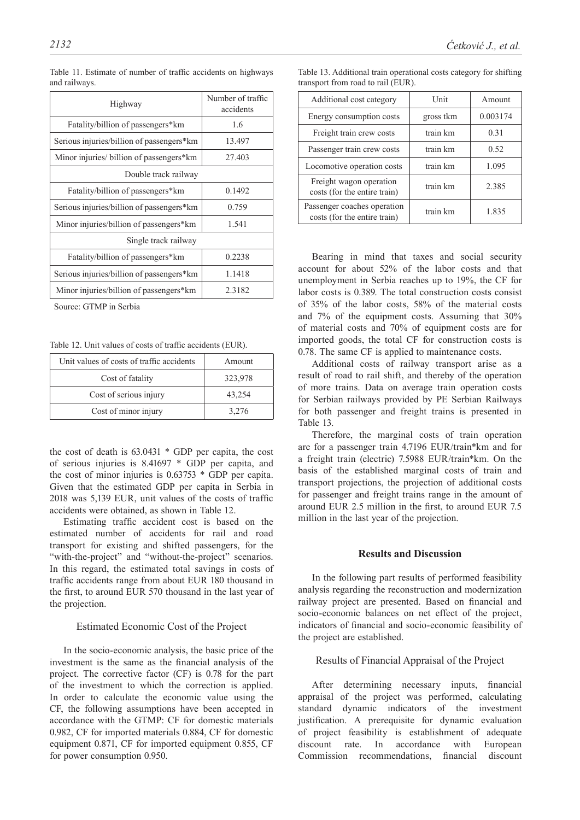| Highway                                   | Number of traffic<br>accidents |
|-------------------------------------------|--------------------------------|
| Fatality/billion of passengers*km         | 1.6                            |
| Serious injuries/billion of passengers*km | 13.497                         |
| Minor injuries/ billion of passengers*km  | 27.403                         |
| Double track railway                      |                                |
| Fatality/billion of passengers*km         | 0.1492                         |
| Serious injuries/billion of passengers*km | 0.759                          |
| Minor injuries/billion of passengers*km   | 1.541                          |
| Single track railway                      |                                |
| Fatality/billion of passengers*km         | 0.2238                         |
| Serious injuries/billion of passengers*km | 1.1418                         |
| Minor injuries/billion of passengers*km   | 2.3182                         |

Table 11. Estimate of number of traffic accidents on highways and railways.

Source: GTMP in Serbia

Table 12. Unit values of costs of traffic accidents (EUR).

| Unit values of costs of traffic accidents | Amount  |
|-------------------------------------------|---------|
| Cost of fatality                          | 323,978 |
| Cost of serious injury                    | 43,254  |
| Cost of minor injury                      | 3,276   |

the cost of death is 63.0431 \* GDP per capita, the cost of serious injuries is 8.41697 \* GDP per capita, and the cost of minor injuries is 0.63753 \* GDP per capita. Given that the estimated GDP per capita in Serbia in 2018 was 5,139 EUR, unit values of the costs of traffic accidents were obtained, as shown in Table 12.

Estimating traffic accident cost is based on the estimated number of accidents for rail and road transport for existing and shifted passengers, for the "with-the-project" and "without-the-project" scenarios. In this regard, the estimated total savings in costs of traffic accidents range from about EUR 180 thousand in the first, to around EUR 570 thousand in the last year of the projection.

# Estimated Economic Cost of the Project

In the socio-economic analysis, the basic price of the investment is the same as the financial analysis of the project. The corrective factor (CF) is 0.78 for the part of the investment to which the correction is applied. In order to calculate the economic value using the CF, the following assumptions have been accepted in accordance with the GTMP: CF for domestic materials 0.982, CF for imported materials 0.884, CF for domestic equipment 0.871, CF for imported equipment 0.855, CF for power consumption 0.950.

| Additional cost category                                    | Unit      | Amount   |
|-------------------------------------------------------------|-----------|----------|
| Energy consumption costs                                    | gross tkm | 0.003174 |
| Freight train crew costs                                    | train km  | 0.31     |
| Passenger train crew costs                                  | train km  | 0.52     |
| Locomotive operation costs                                  | train km  | 1.095    |
| Freight wagon operation<br>costs (for the entire train)     | train km  | 2.385    |
| Passenger coaches operation<br>costs (for the entire train) | train km  | 1.835    |

Table 13. Additional train operational costs category for shifting transport from road to rail (EUR).

Bearing in mind that taxes and social security account for about 52% of the labor costs and that unemployment in Serbia reaches up to 19%, the CF for labor costs is 0.389. The total construction costs consist of 35% of the labor costs, 58% of the material costs and 7% of the equipment costs. Assuming that 30% of material costs and 70% of equipment costs are for imported goods, the total CF for construction costs is 0.78. The same CF is applied to maintenance costs.

Additional costs of railway transport arise as a result of road to rail shift, and thereby of the operation of more trains. Data on average train operation costs for Serbian railways provided by PE Serbian Railways for both passenger and freight trains is presented in Table 13.

Therefore, the marginal costs of train operation are for a passenger train 4.7196 EUR/train\*km and for a freight train (electric) 7.5988 EUR/train\*km. On the basis of the established marginal costs of train and transport projections, the projection of additional costs for passenger and freight trains range in the amount of around EUR 2.5 million in the first, to around EUR 7.5 million in the last year of the projection.

# **Results and Discussion**

In the following part results of performed feasibility analysis regarding the reconstruction and modernization railway project are presented. Based on financial and socio-economic balances on net effect of the project, indicators of financial and socio-economic feasibility of the project are established.

#### Results of Financial Appraisal of the Project

After determining necessary inputs, financial appraisal of the project was performed, calculating standard dynamic indicators of the investment justification. A prerequisite for dynamic evaluation of project feasibility is establishment of adequate discount rate. In accordance with European Commission recommendations, financial discount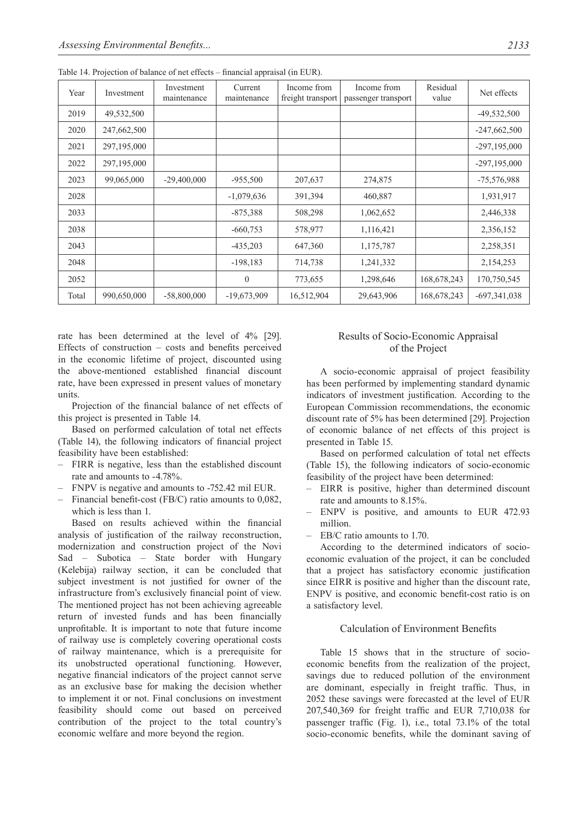| Year  | Investment  | Investment<br>maintenance | Current<br>maintenance | Income from<br>freight transport | Income from<br>passenger transport | Residual<br>value | Net effects    |
|-------|-------------|---------------------------|------------------------|----------------------------------|------------------------------------|-------------------|----------------|
| 2019  | 49,532,500  |                           |                        |                                  |                                    |                   | $-49,532,500$  |
| 2020  | 247,662,500 |                           |                        |                                  |                                    |                   | $-247,662,500$ |
| 2021  | 297,195,000 |                           |                        |                                  |                                    |                   | $-297,195,000$ |
| 2022  | 297,195,000 |                           |                        |                                  |                                    |                   | $-297,195,000$ |
| 2023  | 99,065,000  | $-29,400,000$             | $-955,500$             | 207,637                          | 274,875                            |                   | $-75,576,988$  |
| 2028  |             |                           | $-1,079,636$           | 391,394                          | 460,887                            |                   | 1,931,917      |
| 2033  |             |                           | $-875,388$             | 508,298                          | 1,062,652                          |                   | 2,446,338      |
| 2038  |             |                           | $-660,753$             | 578,977                          | 1,116,421                          |                   | 2,356,152      |
| 2043  |             |                           | $-435,203$             | 647,360                          | 1,175,787                          |                   | 2,258,351      |
| 2048  |             |                           | $-198,183$             | 714,738                          | 1,241,332                          |                   | 2,154,253      |
| 2052  |             |                           | $\theta$               | 773,655                          | 1,298,646                          | 168,678,243       | 170,750,545    |
| Total | 990,650,000 | $-58,800,000$             | $-19,673,909$          | 16,512,904                       | 29,643,906                         | 168,678,243       | $-697,341,038$ |

Table 14. Projection of balance of net effects – financial appraisal (in EUR).

rate has been determined at the level of 4% [29]. Effects of construction – costs and benefits perceived in the economic lifetime of project, discounted using the above-mentioned established financial discount rate, have been expressed in present values of monetary units.

Projection of the financial balance of net effects of this project is presented in Table 14.

Based on performed calculation of total net effects (Table 14), the following indicators of financial project feasibility have been established:

- FIRR is negative, less than the established discount rate and amounts to -4.78%.
- FNPV is negative and amounts to -752.42 mil EUR.
- Financial benefit-cost (FB/C) ratio amounts to 0,082, which is less than 1.

Based on results achieved within the financial analysis of justification of the railway reconstruction, modernization and construction project of the Novi Sad – Subotica – State border with Hungary (Kelebija) railway section, it can be concluded that subject investment is not justified for owner of the infrastructure from's exclusively financial point of view. The mentioned project has not been achieving agreeable return of invested funds and has been financially unprofitable. It is important to note that future income of railway use is completely covering operational costs of railway maintenance, which is a prerequisite for its unobstructed operational functioning. However, negative financial indicators of the project cannot serve as an exclusive base for making the decision whether to implement it or not. Final conclusions on investment feasibility should come out based on perceived contribution of the project to the total country's economic welfare and more beyond the region.

# Results of Socio-Economic Appraisal of the Project

A socio-economic appraisal of project feasibility has been performed by implementing standard dynamic indicators of investment justification. According to the European Commission recommendations, the economic discount rate of 5% has been determined [29]. Projection of economic balance of net effects of this project is presented in Table 15.

Based on performed calculation of total net effects (Table 15), the following indicators of socio-economic feasibility of the project have been determined:

- EIRR is positive, higher than determined discount rate and amounts to 8.15%.
- ENPV is positive, and amounts to EUR 472.93 million.
- EB/C ratio amounts to 1.70.

According to the determined indicators of socioeconomic evaluation of the project, it can be concluded that a project has satisfactory economic justification since EIRR is positive and higher than the discount rate, ENPV is positive, and economic benefit-cost ratio is on a satisfactory level.

# Calculation of Environment Benefits

Table 15 shows that in the structure of socioeconomic benefits from the realization of the project, savings due to reduced pollution of the environment are dominant, especially in freight traffic. Thus, in 2052 these savings were forecasted at the level of EUR 207,540,369 for freight traffic and EUR 7,710,038 for passenger traffic (Fig. 1), i.e., total 73.1% of the total socio-economic benefits, while the dominant saving of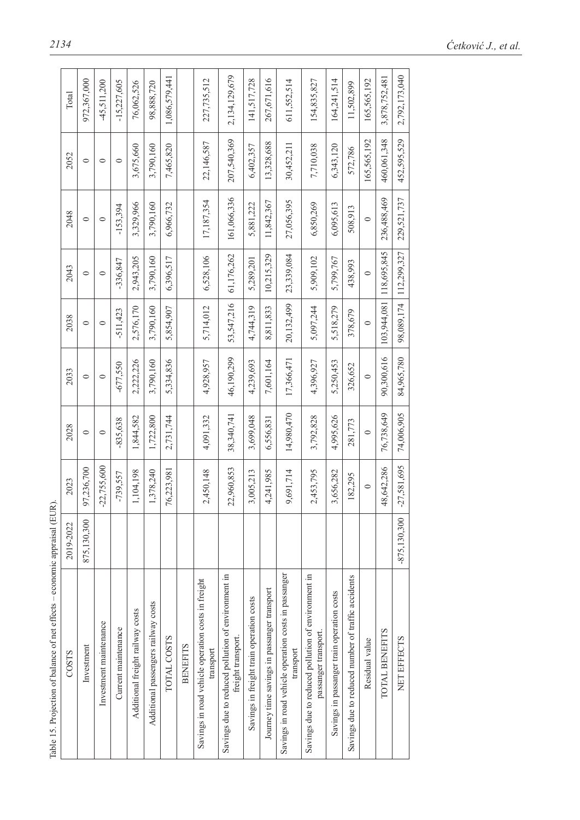| l<br>l                                                                                             |
|----------------------------------------------------------------------------------------------------|
| Ï                                                                                                  |
|                                                                                                    |
|                                                                                                    |
|                                                                                                    |
|                                                                                                    |
| l                                                                                                  |
| ֠                                                                                                  |
| ٔ,                                                                                                 |
|                                                                                                    |
| i<br>l                                                                                             |
| i                                                                                                  |
| ļ                                                                                                  |
|                                                                                                    |
| ı                                                                                                  |
| <b>CALC</b><br>֧֦֧֦֧֦֦֧֦֧ׅ֧֧֦֧ׅ֧֧֧ׅ֧֧ׅ֧ׅ֧֧ׅ֧֧ׅ֧֪֧֧֧֪֧֛֚֚֚֚֚֚֚֚֚֚֚֚֚֚֚֚֝֝֝֜֓֝֜֓֝֓֓֜֓֓֜֓֜֓֞֜֓֝֬֜֓֝֬֜ |
| í<br>l                                                                                             |
|                                                                                                    |
|                                                                                                    |
| $2 + 2 + 2$                                                                                        |
|                                                                                                    |
|                                                                                                    |
|                                                                                                    |
|                                                                                                    |
|                                                                                                    |
| $-2000$<br>ł                                                                                       |
|                                                                                                    |
| $\ddot{\phantom{a}}$                                                                               |
|                                                                                                    |
|                                                                                                    |
| ì                                                                                                  |
|                                                                                                    |
|                                                                                                    |
| Ï                                                                                                  |
| ł                                                                                                  |
| ֚֓                                                                                                 |

| Table 15. Projection of balance of net effects – economic appraisal (EUR)  |                |               |            |            |             |             |             |             |               |
|----------------------------------------------------------------------------|----------------|---------------|------------|------------|-------------|-------------|-------------|-------------|---------------|
| COSTS                                                                      | 2019-2022      | 2023          | 2028       | 2033       | 2038        | 2043        | 2048        | 2052        | Total         |
| Investment                                                                 | 875,130,300    | 97,236,700    | $\circ$    | $\circ$    | $\circ$     | $\circ$     | $\circ$     | $\circ$     | 972,367,000   |
| Investment maintenance                                                     |                | $-22,755,600$ | $\circ$    | $\circ$    | $\circ$     | $\circ$     | $\circ$     | $\circ$     | $-45,511,200$ |
| Current maintenance                                                        |                | $-739,557$    | $-835,638$ | $-677,550$ | 511,423     | $-336,847$  | $-153,394$  | $\circ$     | $-15,227,605$ |
| Additional freight railway costs                                           |                | 1,104,198     | 1,844,582  | 2,222,226  | 2,576,170   | 2,943,205   | 3,329,966   | 3,675,660   | 76,062,526    |
| Additional passengers railway costs                                        |                | 1,378,240     | 1,722,800  | 3,790,160  | 3,790,160   | 3,790,160   | 3,790,160   | 3,790,160   | 98,888,720    |
| TOTAL COSTS                                                                |                | 76,223,981    | 2,731,744  | 5,334,836  | 5,854,907   | 6,396,517   | 6,966,732   | 7,465,820   | 1,086,579,441 |
| <b>BENEFITS</b>                                                            |                |               |            |            |             |             |             |             |               |
| Savings in road vehicle operation costs in freight<br>transport            |                | 2,450,148     | 4,091,332  | 4,928,957  | 5,714,012   | 6,528,106   | 17,187,354  | 22,146,587  | 227,735,512   |
| Savings due to reduced pollution of environment in<br>freight transport.   |                | 22,960,853    | 38,340,741 | 46,190,299 | 53,547,216  | 61,176,262  | 161,066,336 | 207,540,369 | 2,134,129,679 |
| Savings in freight train operation costs                                   |                | 3,005,213     | 3,699,048  | 4,239,693  | 4,744,319   | 5,289,201   | 5,881,222   | 6,402,357   | 141,517,728   |
| Journey time savings in passanger transport                                |                | 4,241,985     | 6,556,831  | 7,601,164  | 8,811,833   | 10,215,329  | 11,842,367  | 13,328,688  | 267,671,616   |
| Savings in road vehicle operation costs in passanger<br>transport          |                | 9,691,714     | 14,980,470 | 17,366,471 | 20,132,499  | 23,339,084  | 27,056,395  | 30,452,211  | 611, 552, 514 |
| Savings due to reduced pollution of environment in<br>passanger transport. |                | 2,453,795     | 3,792,828  | 4,396,927  | 5,097,244   | 5,909,102   | 6,850,269   | 7,710,038   | 154,835,827   |
| Savings in passanger train operation costs                                 |                | 3,656,282     | 4,995,626  | 5,250,453  | 5,518,279   | 5,799,767   | 6,095,613   | 6,343,120   | 164,241,514   |
| Savings due to reduced number of traffic accidents                         |                | 182,295       | 281,773    | 326,652    | 378,679     | 438,993     | 508,913     | 572,786     | 11,502,899    |
| Residual value                                                             |                | $\circ$       | $\circ$    | $\circ$    | $\circ$     | $\circ$     | $\circ$     | 165,565,192 | 165,565,192   |
| TOTAL BENEFITS                                                             |                | 48,642,286    | 76,738,649 | 90,300,616 | 103,944,081 | 118,695,845 | 236,488,469 | 460,061,348 | 3,878,752,481 |
| NET EFFECTS                                                                | $-875,130,300$ | $-27,581,695$ | 74,006,905 | 84,965,780 | 98,089,174  | 112,299,327 | 229,521,737 | 452,595,529 | 2,792,173,040 |
|                                                                            |                |               |            |            |             |             |             |             |               |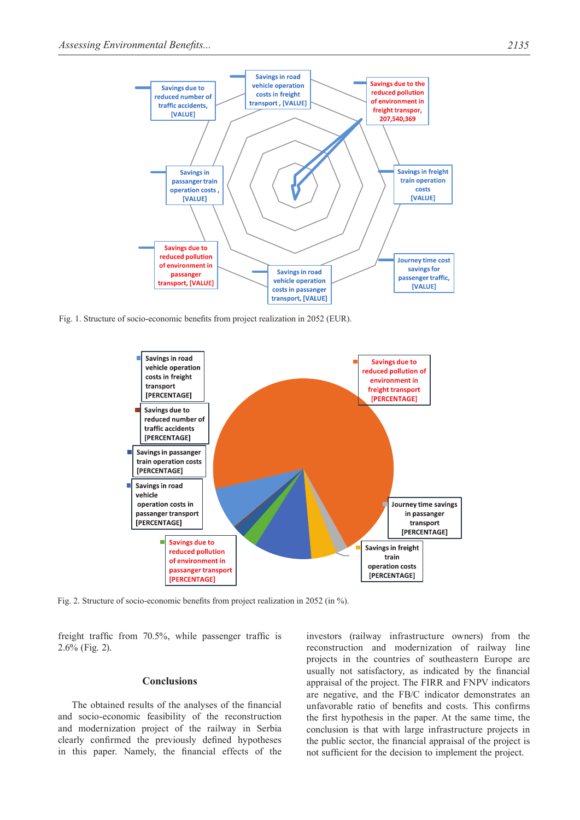

Fig. 1. Structure of socio-economic benefits from project realization in 2052 (EUR).



Fig. 2. Structure of socio-economic benefits from project realization in 2052 (in %).

freight traffic from 70.5%, while passenger traffic is 2.6% (Fig. 2).

# **Conclusions**

The obtained results of the analyses of the financial and socio-economic feasibility of the reconstruction and modernization project of the railway in Serbia clearly confirmed the previously defined hypotheses in this paper. Namely, the financial effects of the investors (railway infrastructure owners) from the reconstruction and modernization of railway line projects in the countries of southeastern Europe are usually not satisfactory, as indicated by the financial appraisal of the project. The FIRR and FNPV indicators are negative, and the FB/C indicator demonstrates an unfavorable ratio of benefits and costs. This confirms the first hypothesis in the paper. At the same time, the conclusion is that with large infrastructure projects in the public sector, the financial appraisal of the project is not sufficient for the decision to implement the project.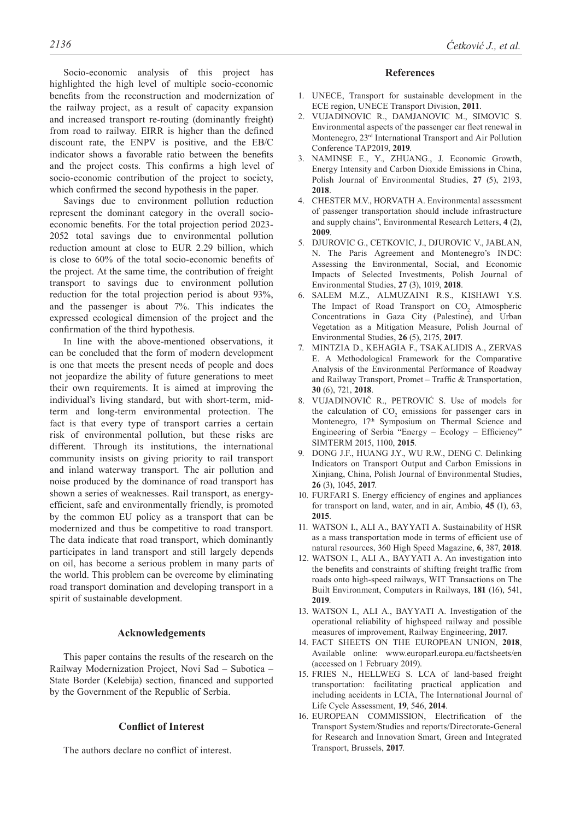Socio-economic analysis of this project has highlighted the high level of multiple socio-economic benefits from the reconstruction and modernization of the railway project, as a result of capacity expansion and increased transport re-routing (dominantly freight) from road to railway. EIRR is higher than the defined discount rate, the ENPV is positive, and the EB/C indicator shows a favorable ratio between the benefits and the project costs. This confirms a high level of socio-economic contribution of the project to society, which confirmed the second hypothesis in the paper.

Savings due to environment pollution reduction represent the dominant category in the overall socioeconomic benefits. For the total projection period 2023- 2052 total savings due to environmental pollution reduction amount at close to EUR 2.29 billion, which is close to 60% of the total socio-economic benefits of the project. At the same time, the contribution of freight transport to savings due to environment pollution reduction for the total projection period is about 93%, and the passenger is about 7%. This indicates the expressed ecological dimension of the project and the confirmation of the third hypothesis.

In line with the above-mentioned observations, it can be concluded that the form of modern development is one that meets the present needs of people and does not jeopardize the ability of future generations to meet their own requirements. It is aimed at improving the individual's living standard, but with short-term, midterm and long-term environmental protection. The fact is that every type of transport carries a certain risk of environmental pollution, but these risks are different. Through its institutions, the international community insists on giving priority to rail transport and inland waterway transport. The air pollution and noise produced by the dominance of road transport has shown a series of weaknesses. Rail transport, as energyefficient, safe and environmentally friendly, is promoted by the common EU policy as a transport that can be modernized and thus be competitive to road transport. The data indicate that road transport, which dominantly participates in land transport and still largely depends on oil, has become a serious problem in many parts of the world. This problem can be overcome by eliminating road transport domination and developing transport in a spirit of sustainable development.

## **Acknowledgements**

This paper contains the results of the research on the Railway Modernization Project, Novi Sad – Subotica – State Border (Kelebija) section, financed and supported by the Government of the Republic of Serbia.

## **Conflict of Interest**

The authors declare no conflict of interest.

#### **References**

- 1. UNECE, Transport for sustainable development in the ECE region, UNECE Transport Division, **2011**.
- 2. VUJADINOVIC R., DAMJANOVIC M., SIMOVIC S. Environmental aspects of the passenger car fleet renewal in Montenegro, 23rd International Transport and Air Pollution Conference TAP2019, **2019**.
- 3. NAMINSE E., Y., ZHUANG., J. Economic Growth, Energy Intensity and Carbon Dioxide Emissions in China, Polish Journal of Environmental Studies, **27** (5), 2193, **2018**.
- 4. CHESTER M.V., HORVATH A. Environmental assessment of passenger transportation should include infrastructure and supply chains", Environmental Research Letters, **4** (2), **2009**.
- 5. DJUROVIC G., CETKOVIC, J., DJUROVIC V., JABLAN, N. The Paris Agreement and Montenegro's INDC: Assessing the Environmental, Social, and Economic Impacts of Selected Investments, Polish Journal of Environmental Studies, **27** (3), 1019, **2018**.
- 6. SALEM M.Z., ALMUZAINI R.S., KISHAWI Y.S. The Impact of Road Transport on  $CO<sub>2</sub>$  Atmospheric Concentrations in Gaza City (Palestine), and Urban Vegetation as a Mitigation Measure, Polish Journal of Environmental Studies, **26** (5), 2175, **2017**.
- 7. MINTZIA D., KEHAGIA F., TSAKALIDIS A., ZERVAS E. A Methodological Framework for the Comparative Analysis of the Environmental Performance of Roadway and Railway Transport, Promet – Traffic & Transportation, **30** (6), 721, **2018**.
- 8. VUJADINOVIĆ R., PETROVIĆ S. Use of models for the calculation of  $CO<sub>2</sub>$  emissions for passenger cars in Montenegro, 17<sup>th</sup> Symposium on Thermal Science and Engineering of Serbia "Energy – Ecology – Efficiency" SIMTERM 2015, 1100, **2015**.
- 9. DONG J.F., HUANG J.Y., WU R.W., DENG C. Delinking Indicators on Transport Output and Carbon Emissions in Xinjiang, China, Polish Journal of Environmental Studies, **26** (3), 1045, **2017**.
- 10. FURFARI S. Energy efficiency of engines and appliances for transport on land, water, and in air, Ambio, **45** (1), 63, **2015**.
- 11. WATSON I., ALI A., BAYYATI A. Sustainability of HSR as a mass transportation mode in terms of efficient use of natural resources, 360 High Speed Magazine, **6**, 387, **2018**.
- 12. WATSON I., ALI A., BAYYATI A. An investigation into the benefits and constraints of shifting freight traffic from roads onto high-speed railways, WIT Transactions on The Built Environment, Computers in Railways, **181** (16), 541, **2019**.
- 13. WATSON I., ALI A., BAYYATI A. Investigation of the operational reliability of highspeed railway and possible measures of improvement, Railway Engineering, **2017**.
- 14. FACT SHEETS ON THE EUROPEAN UNION, **2018**, Available online: www.europarl.europa.eu/factsheets/en (accessed on 1 February 2019).
- 15. FRIES N., HELLWEG S. LCA of land-based freight transportation: facilitating practical application and including accidents in LCIA, The International Journal of Life Cycle Assessment, **19**, 546, **2014**.
- 16. EUROPEAN COMMISSION, Electrification of the Transport System/Studies and reports/Directorate-General for Research and Innovation Smart, Green and Integrated Transport, Brussels, **2017**.